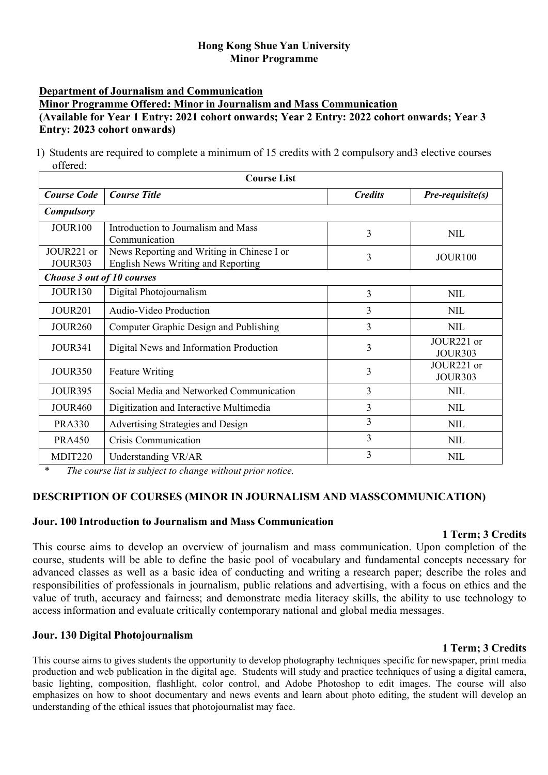# **Hong Kong Shue Yan University Minor Programme**

# **Department of Journalism and Communication**

## **Minor Programme Offered: Minor in Journalism and Mass Communication (Available for Year 1 Entry: 2021 cohort onwards; Year 2 Entry: 2022 cohort onwards; Year 3 Entry: 2023 cohort onwards)**

1) Students are required to complete a minimum of 15 credits with 2 compulsory and3 elective courses offered:

| <b>Course List</b>                       |                                                                                  |                |                              |
|------------------------------------------|----------------------------------------------------------------------------------|----------------|------------------------------|
| <b>Course Code</b>                       | <b>Course Title</b>                                                              | <b>Credits</b> | <i>Pre-requisite(s)</i>      |
| <b>Compulsory</b>                        |                                                                                  |                |                              |
| <b>JOUR100</b>                           | Introduction to Journalism and Mass<br>Communication                             | 3              | <b>NIL</b>                   |
| JOUR <sub>221</sub> or<br><b>JOUR303</b> | News Reporting and Writing in Chinese I or<br>English News Writing and Reporting | 3              | <b>JOUR100</b>               |
| Choose 3 out of 10 courses               |                                                                                  |                |                              |
| <b>JOUR130</b>                           | Digital Photojournalism                                                          | 3              | <b>NIL</b>                   |
| <b>JOUR201</b>                           | Audio-Video Production                                                           | 3              | <b>NIL</b>                   |
| <b>JOUR260</b>                           | Computer Graphic Design and Publishing                                           | 3              | <b>NIL</b>                   |
| <b>JOUR341</b>                           | Digital News and Information Production                                          | $\overline{3}$ | JOUR221 or<br><b>JOUR303</b> |
| <b>JOUR350</b>                           | <b>Feature Writing</b>                                                           | 3              | JOUR221 or<br><b>JOUR303</b> |
| <b>JOUR395</b>                           | Social Media and Networked Communication                                         | 3              | <b>NIL</b>                   |
| <b>JOUR460</b>                           | Digitization and Interactive Multimedia                                          | 3              | <b>NIL</b>                   |
| <b>PRA330</b>                            | Advertising Strategies and Design                                                | $\overline{3}$ | <b>NIL</b>                   |
| <b>PRA450</b>                            | Crisis Communication                                                             | 3              | <b>NIL</b>                   |
| MDIT220                                  | Understanding VR/AR                                                              | 3              | <b>NIL</b>                   |

\* *The course list is subject to change without prior notice.*

# **DESCRIPTION OF COURSES (MINOR IN JOURNALISM AND MASSCOMMUNICATION)**

# **Jour. 100 Introduction to Journalism and Mass Communication**

# **1 Term; 3 Credits**

This course aims to develop an overview of journalism and mass communication. Upon completion of the course, students will be able to define the basic pool of vocabulary and fundamental concepts necessary for advanced classes as well as a basic idea of conducting and writing a research paper; describe the roles and responsibilities of professionals in journalism, public relations and advertising, with a focus on ethics and the value of truth, accuracy and fairness; and demonstrate media literacy skills, the ability to use technology to access information and evaluate critically contemporary national and global media messages.

# **Jour. 130 Digital Photojournalism**

This course aims to gives students the opportunity to develop photography techniques specific for newspaper, print media production and web publication in the digital age. Students will study and practice techniques of using a digital camera, basic lighting, composition, flashlight, color control, and Adobe Photoshop to edit images. The course will also emphasizes on how to shoot documentary and news events and learn about photo editing, the student will develop an understanding of the ethical issues that photojournalist may face.

# **1 Term; 3 Credits**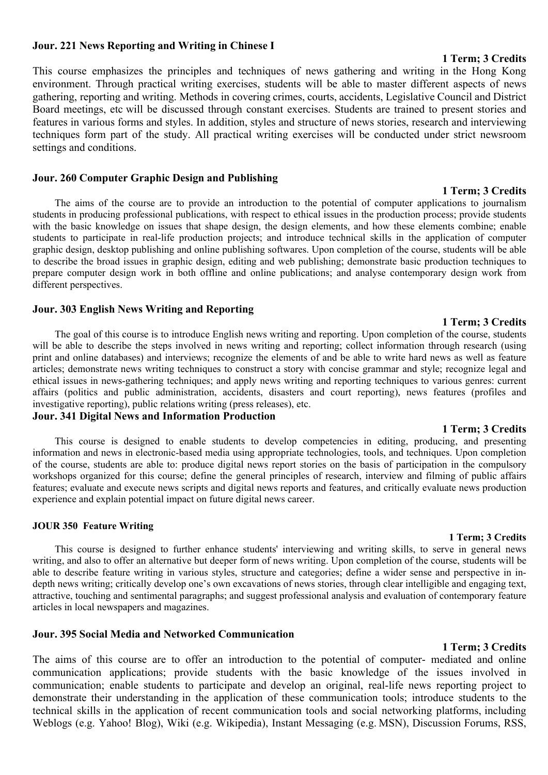## **Jour. 221 News Reporting and Writing in Chinese I**

This course emphasizes the principles and techniques of news gathering and writing in the Hong Kong environment. Through practical writing exercises, students will be able to master different aspects of news gathering, reporting and writing. Methods in covering crimes, courts, accidents, Legislative Council and District Board meetings, etc will be discussed through constant exercises. Students are trained to present stories and features in various forms and styles. In addition, styles and structure of news stories, research and interviewing techniques form part of the study. All practical writing exercises will be conducted under strict newsroom settings and conditions.

## **Jour. 260 Computer Graphic Design and Publishing**

The aims of the course are to provide an introduction to the potential of computer applications to journalism students in producing professional publications, with respect to ethical issues in the production process; provide students with the basic knowledge on issues that shape design, the design elements, and how these elements combine; enable students to participate in real-life production projects; and introduce technical skills in the application of computer graphic design, desktop publishing and online publishing softwares. Upon completion of the course, students will be able to describe the broad issues in graphic design, editing and web publishing; demonstrate basic production techniques to prepare computer design work in both offline and online publications; and analyse contemporary design work from different perspectives.

## **Jour. 303 English News Writing and Reporting**

The goal of this course is to introduce English news writing and reporting. Upon completion of the course, students will be able to describe the steps involved in news writing and reporting; collect information through research (using print and online databases) and interviews; recognize the elements of and be able to write hard news as well as feature articles; demonstrate news writing techniques to construct a story with concise grammar and style; recognize legal and ethical issues in news-gathering techniques; and apply news writing and reporting techniques to various genres: current affairs (politics and public administration, accidents, disasters and court reporting), news features (profiles and investigative reporting), public relations writing (press releases), etc.

## **Jour. 341 Digital News and Information Production**

This course is designed to enable students to develop competencies in editing, producing, and presenting information and news in electronic-based media using appropriate technologies, tools, and techniques. Upon completion of the course, students are able to: produce digital news report stories on the basis of participation in the compulsory workshops organized for this course; define the general principles of research, interview and filming of public affairs features; evaluate and execute news scripts and digital news reports and features, and critically evaluate news production experience and explain potential impact on future digital news career.

#### **JOUR 350 Feature Writing**

This course is designed to further enhance students' interviewing and writing skills, to serve in general news writing, and also to offer an alternative but deeper form of news writing. Upon completion of the course, students will be able to describe feature writing in various styles, structure and categories; define a wider sense and perspective in indepth news writing; critically develop one's own excavations of news stories, through clear intelligible and engaging text, attractive, touching and sentimental paragraphs; and suggest professional analysis and evaluation of contemporary feature articles in local newspapers and magazines.

## **Jour. 395 Social Media and Networked Communication**

#### **1 Term; 3 Credits**

The aims of this course are to offer an introduction to the potential of computer- mediated and online communication applications; provide students with the basic knowledge of the issues involved in communication; enable students to participate and develop an original, real-life news reporting project to demonstrate their understanding in the application of these communication tools; introduce students to the technical skills in the application of recent communication tools and social networking platforms, including Weblogs (e.g. Yahoo! Blog), Wiki (e.g. Wikipedia), Instant Messaging (e.g. MSN), Discussion Forums, RSS,

## **1 Term; 3 Credits**

#### **1 Term; 3 Credits**

# **1 Term; 3 Credits**

**1 Term; 3 Credits**

# **1 Term; 3 Credits**